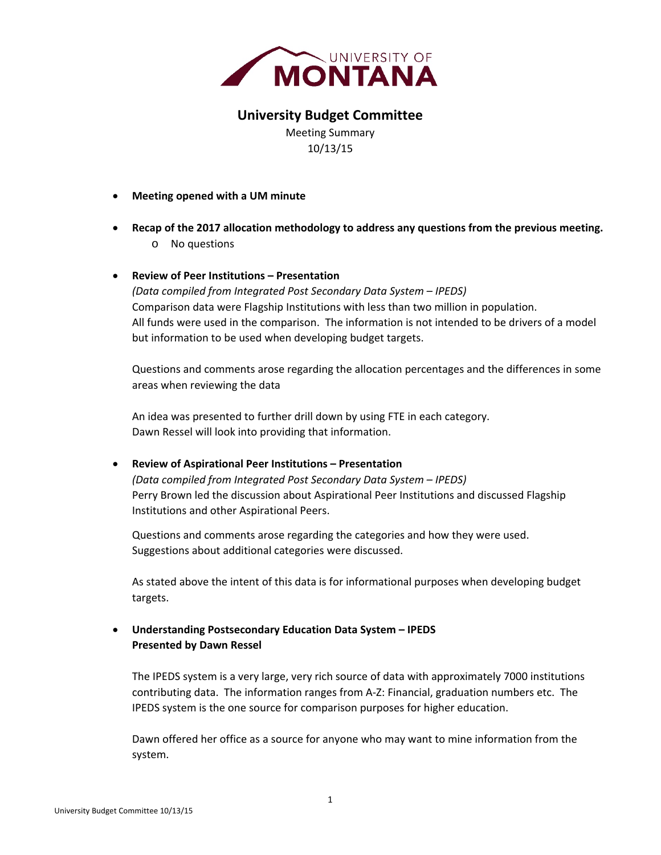

# **University Budget Committee**

Meeting Summary 10/13/15

- **Meeting opened with a UM minute**
- **Recap of the 2017 allocation methodology to address any questions from the previous meeting.** o No questions

### **Review of Peer Institutions – Presentation**

*(Data compiled from Integrated Post Secondary Data System – IPEDS)* Comparison data were Flagship Institutions with less than two million in population. All funds were used in the comparison. The information is not intended to be drivers of a model but information to be used when developing budget targets.

Questions and comments arose regarding the allocation percentages and the differences in some areas when reviewing the data

An idea was presented to further drill down by using FTE in each category. Dawn Ressel will look into providing that information.

## **Review of Aspirational Peer Institutions – Presentation**

*(Data compiled from Integrated Post Secondary Data System – IPEDS)* Perry Brown led the discussion about Aspirational Peer Institutions and discussed Flagship Institutions and other Aspirational Peers.

 Questions and comments arose regarding the categories and how they were used. Suggestions about additional categories were discussed.

As stated above the intent of this data is for informational purposes when developing budget targets.

# **Understanding Postsecondary Education Data System – IPEDS Presented by Dawn Ressel**

The IPEDS system is a very large, very rich source of data with approximately 7000 institutions contributing data. The information ranges from A‐Z: Financial, graduation numbers etc. The IPEDS system is the one source for comparison purposes for higher education.

Dawn offered her office as a source for anyone who may want to mine information from the system.